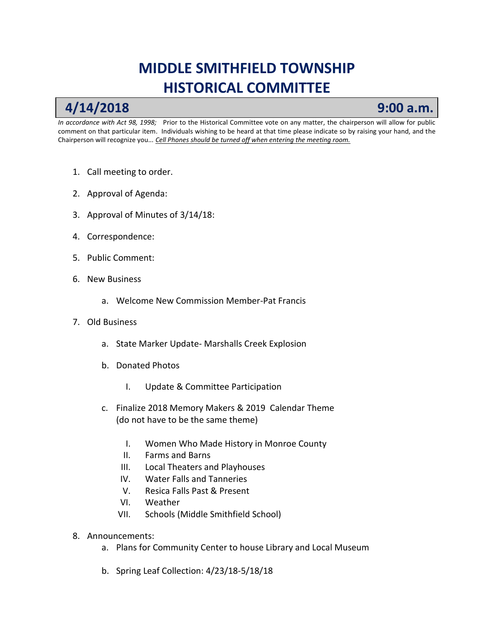## **MIDDLE SMITHFIELD TOWNSHIP HISTORICAL COMMITTEE**

## **4/14/2018 9:00 a.m.**

*In accordance with Act 98, 1998;* Prior to the Historical Committee vote on any matter, the chairperson will allow for public comment on that particular item. Individuals wishing to be heard at that time please indicate so by raising your hand, and the Chairperson will recognize you.*.. Cell Phones should be turned off when entering the meeting room.*

- 1. Call meeting to order.
- 2. Approval of Agenda:
- 3. Approval of Minutes of 3/14/18:
- 4. Correspondence:
- 5. Public Comment:
- 6. New Business
	- a. Welcome New Commission Member-Pat Francis
- 7. Old Business
	- a. State Marker Update- Marshalls Creek Explosion
	- b. Donated Photos
		- I. Update & Committee Participation
	- c. Finalize 2018 Memory Makers & 2019 Calendar Theme (do not have to be the same theme)
		- I. Women Who Made History in Monroe County
		- II. Farms and Barns
		- III. Local Theaters and Playhouses
		- IV. Water Falls and Tanneries
		- V. Resica Falls Past & Present
		- VI. Weather
		- VII. Schools (Middle Smithfield School)
- 8. Announcements:
	- a. Plans for Community Center to house Library and Local Museum
	- b. Spring Leaf Collection: 4/23/18-5/18/18